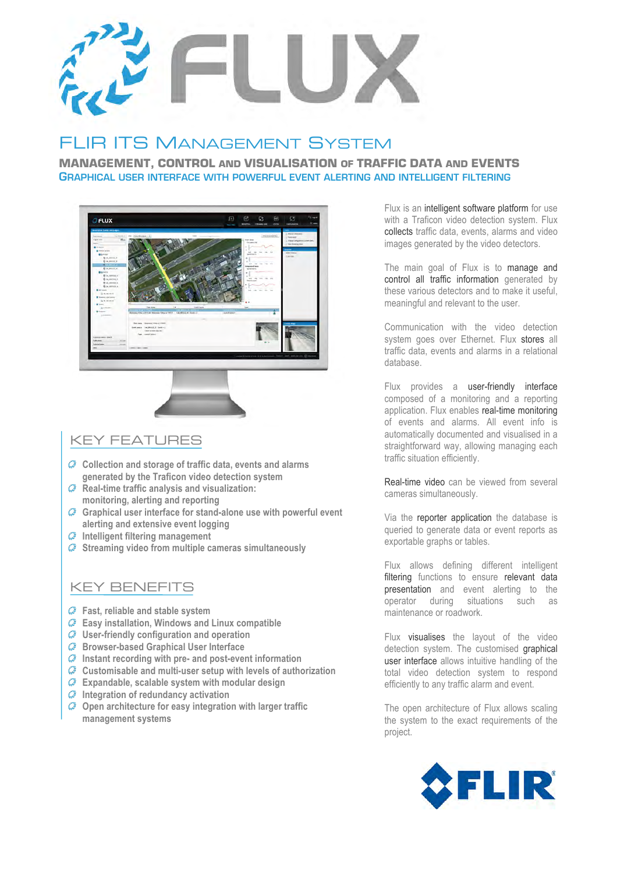

# **IR ITS MANAGEMENT SYSTEM**

**MANAGEMENT, CONTROL AND VISUALISATION OF TRAFFIC DATA AND EVENTS** GRAPHICAL USER INTERFACE WITH POWERFUL EVENT ALERTING AND INTELLIGENT FILTERING



## KEY FEATURES

- **Collection and storage of traffic data, events and alarms generated by the Traficon video detection system**
- **Real-time traffic analysis and visualization: monitoring, alerting and reporting**
- **Graphical user interface for stand-alone use with powerful event alerting and extensive event logging**
- **Intelligent filtering management**
- **Streaming video from multiple cameras simultaneously**

## KEY BENEFITS

- **Fast, reliable and stable system**
- **Easy installation, Windows and Linux compatible**
- **User-friendly configuration and operation**
- **Browser-based Graphical User Interface**
- **Instant recording with pre- and post-event information**
- **Customisable and multi-user setup with levels of authorization**
- **Expandable, scalable system with modular design**
- **Integration of redundancy activation**
- **Open architecture for easy integration with larger traffic management systems**

Flux is an intelligent software platform for use with a Traficon video detection system. Flux collects traffic data, events, alarms and video images generated by the video detectors.

The main goal of Flux is to manage and control all traffic information generated by these various detectors and to make it useful, meaningful and relevant to the user.

Communication with the video detection system goes over Ethernet. Flux stores all traffic data, events and alarms in a relational database.

Flux provides a user-friendly interface composed of a monitoring and a reporting application. Flux enables real-time monitoring of events and alarms. All event info is automatically documented and visualised in a straightforward way, allowing managing each traffic situation efficiently.

Real-time video can be viewed from several cameras simultaneously.

Via the reporter application the database is queried to generate data or event reports as exportable graphs or tables.

Flux allows defining different intelligent filtering functions to ensure relevant data presentation and event alerting to the operator during situations such as maintenance or roadwork.

Flux visualises the layout of the video detection system. The customised graphical user interface allows intuitive handling of the total video detection system to respond efficiently to any traffic alarm and event.

The open architecture of Flux allows scaling the system to the exact requirements of the project.

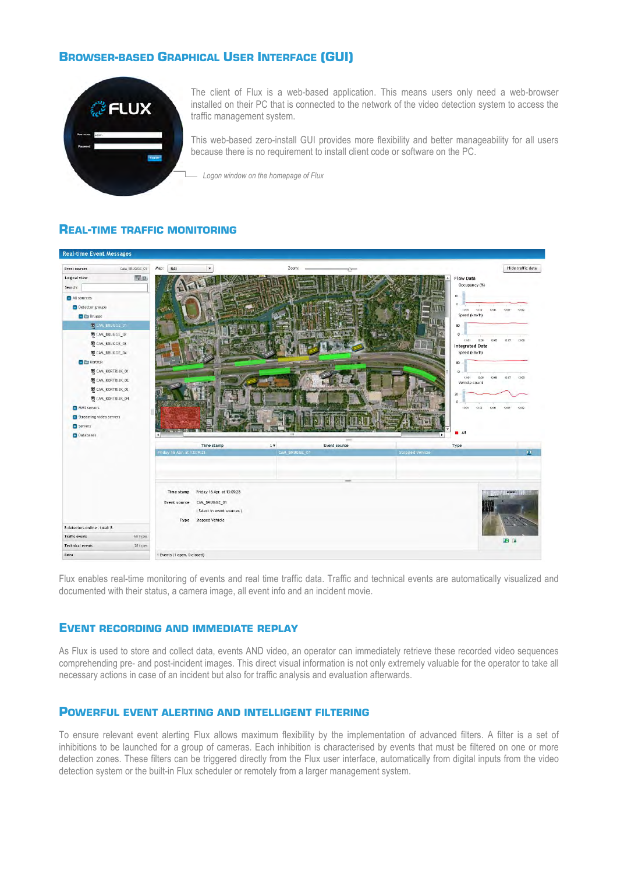## **BROWSER-BASED GRAPHICAL USER INTERFACE (GUI)**



The client of Flux is a web-based application. This means users only need a web-browser installed on their PC that is connected to the network of the video detection system to access the traffic management system.

This web-based zero-install GUI provides more flexibility and better manageability for all users because there is no requirement to install client code or software on the PC.

*Logon window on the homepage of Flux*

#### **REAL-TIME TRAFFIC MONITORING**



Flux enables real-time monitoring of events and real time traffic data. Traffic and technical events are automatically visualized and documented with their status, a camera image, all event info and an incident movie.

#### **EVENT RECORDING AND IMMEDIATE REPLAY**

As Flux is used to store and collect data, events AND video, an operator can immediately retrieve these recorded video sequences comprehending pre- and post-incident images. This direct visual information is not only extremely valuable for the operator to take all necessary actions in case of an incident but also for traffic analysis and evaluation afterwards.

#### **POWERFUL EVENT ALERTING AND INTELLIGENT FILTERING**

To ensure relevant event alerting Flux allows maximum flexibility by the implementation of advanced filters. A filter is a set of inhibitions to be launched for a group of cameras. Each inhibition is characterised by events that must be filtered on one or more detection zones. These filters can be triggered directly from the Flux user interface, automatically from digital inputs from the video detection system or the built-in Flux scheduler or remotely from a larger management system.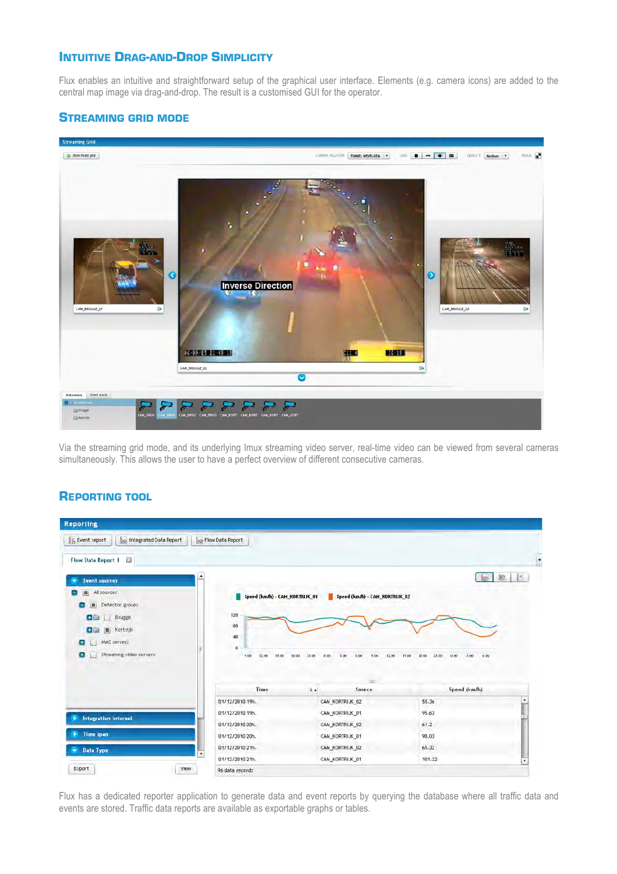## **INTUITIVE DRAG-AND-DROP SIMPLICITY**

Flux enables an intuitive and straightforward setup of the graphical user interface. Elements (e.g. camera icons) are added to the central map image via drag-and-drop. The result is a customised GUI for the operator.

## **STREAMING GRID MODE**



Via the streaming grid mode, and its underlying Imux streaming video server, real-time video can be viewed from several cameras simultaneously. This allows the user to have a perfect overview of different consecutive cameras.

### **REPORTING TOOL**

| <b>Reporting</b>                                                                              |                                                  |                                                          |                                                 |
|-----------------------------------------------------------------------------------------------|--------------------------------------------------|----------------------------------------------------------|-------------------------------------------------|
| <b>Jo Integrated Data Report</b><br>Event report                                              | <b>R</b> Flow Data Report                        |                                                          |                                                 |
| <b>Flow Data Report 1</b><br>$\overline{\omega}$                                              |                                                  |                                                          |                                                 |
| <b>Event sources</b>                                                                          |                                                  |                                                          | 囪<br>u.                                         |
| All sources<br>Detector groups<br><b>OBIL</b> Brugge<br>图 Kortrijk<br>e G<br>MMS servers<br>۰ | Speed (km/h) - CAM_KORTRUK_01<br>120<br>80<br>40 | Speed (km/h) - CAM_KORTRJK_02                            |                                                 |
| Streaming video servers<br>o                                                                  | $\mathbf{0}$<br>7.00<br>12,00<br>15:00           | 10:00<br>21:00<br>0.00<br>9.00.<br>12:00<br>1,00<br>0.00 | 15:00<br>21:00<br>15:00<br>0.05<br>1.00<br>6.00 |
|                                                                                               | Time                                             | Source<br>1.4                                            | Speed (km/h)                                    |
|                                                                                               | 01/12/2010 19h.                                  | CAM KORTRIJK 02                                          | 55.36                                           |
|                                                                                               | 01/12/2010 19h.                                  | CAM_KORTRIJK_01                                          | 95.63                                           |
| <b>Integration interval</b>                                                                   | 01/12/2010 20h.                                  | CAM_KORTRIJK_02                                          | 61.2                                            |
| Time span                                                                                     | 01/12/2010 20h.                                  | CAM_KORTRIJK_01                                          | 98.03                                           |
|                                                                                               | 01/12/2010 21h                                   | CAM_KORTRIJK_02                                          | 65.32                                           |
| Data Type                                                                                     | ٠<br>01/12/2010 21h.                             | CAM_KORTRIJK_01                                          | 101.22<br>×                                     |

Flux has a dedicated reporter application to generate data and event reports by querying the database where all traffic data and events are stored. Traffic data reports are available as exportable graphs or tables.